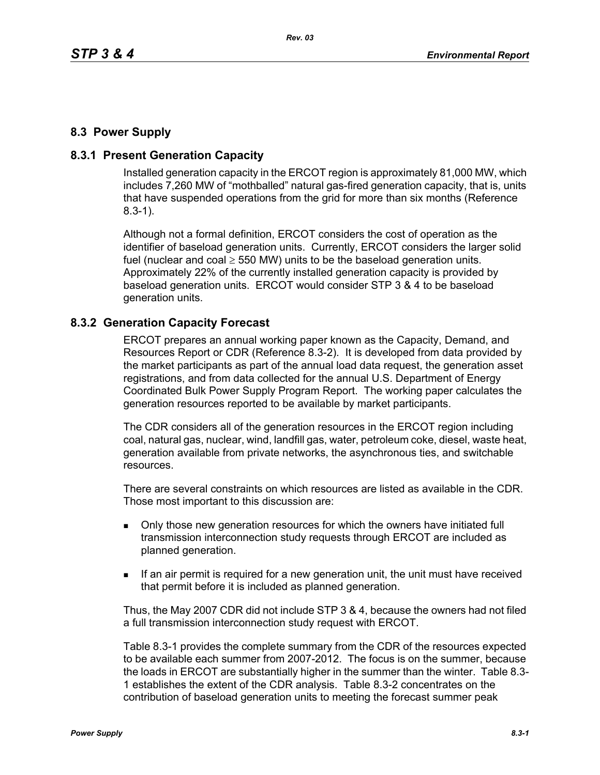## **8.3 Power Supply**

### **8.3.1 Present Generation Capacity**

Installed generation capacity in the ERCOT region is approximately 81,000 MW, which includes 7,260 MW of "mothballed" natural gas-fired generation capacity, that is, units that have suspended operations from the grid for more than six months (Reference 8.3-1).

Although not a formal definition, ERCOT considers the cost of operation as the identifier of baseload generation units. Currently, ERCOT considers the larger solid fuel (nuclear and coal  $\geq$  550 MW) units to be the baseload generation units. Approximately 22% of the currently installed generation capacity is provided by baseload generation units. ERCOT would consider STP 3 & 4 to be baseload generation units.

#### **8.3.2 Generation Capacity Forecast**

ERCOT prepares an annual working paper known as the Capacity, Demand, and Resources Report or CDR (Reference 8.3-2). It is developed from data provided by the market participants as part of the annual load data request, the generation asset registrations, and from data collected for the annual U.S. Department of Energy Coordinated Bulk Power Supply Program Report. The working paper calculates the generation resources reported to be available by market participants.

The CDR considers all of the generation resources in the ERCOT region including coal, natural gas, nuclear, wind, landfill gas, water, petroleum coke, diesel, waste heat, generation available from private networks, the asynchronous ties, and switchable resources.

There are several constraints on which resources are listed as available in the CDR. Those most important to this discussion are:

- Only those new generation resources for which the owners have initiated full transmission interconnection study requests through ERCOT are included as planned generation.
- If an air permit is required for a new generation unit, the unit must have received that permit before it is included as planned generation.

Thus, the May 2007 CDR did not include STP 3 & 4, because the owners had not filed a full transmission interconnection study request with ERCOT.

Table 8.3-1 provides the complete summary from the CDR of the resources expected to be available each summer from 2007-2012. The focus is on the summer, because the loads in ERCOT are substantially higher in the summer than the winter. Table 8.3- 1 establishes the extent of the CDR analysis. Table 8.3-2 concentrates on the contribution of baseload generation units to meeting the forecast summer peak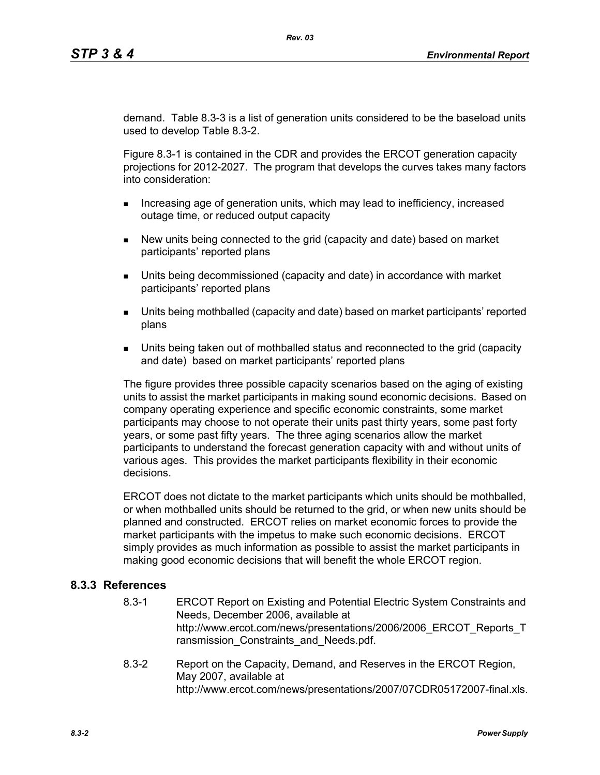demand. Table 8.3-3 is a list of generation units considered to be the baseload units used to develop Table 8.3-2.

Figure 8.3-1 is contained in the CDR and provides the ERCOT generation capacity projections for 2012-2027. The program that develops the curves takes many factors into consideration:

- **Increasing age of generation units, which may lead to inefficiency, increased** outage time, or reduced output capacity
- New units being connected to the grid (capacity and date) based on market participants' reported plans
- Units being decommissioned (capacity and date) in accordance with market participants' reported plans
- Units being mothballed (capacity and date) based on market participants' reported plans
- Units being taken out of mothballed status and reconnected to the grid (capacity and date) based on market participants' reported plans

The figure provides three possible capacity scenarios based on the aging of existing units to assist the market participants in making sound economic decisions. Based on company operating experience and specific economic constraints, some market participants may choose to not operate their units past thirty years, some past forty years, or some past fifty years. The three aging scenarios allow the market participants to understand the forecast generation capacity with and without units of various ages. This provides the market participants flexibility in their economic decisions.

ERCOT does not dictate to the market participants which units should be mothballed, or when mothballed units should be returned to the grid, or when new units should be planned and constructed. ERCOT relies on market economic forces to provide the market participants with the impetus to make such economic decisions. ERCOT simply provides as much information as possible to assist the market participants in making good economic decisions that will benefit the whole ERCOT region.

#### **8.3.3 References**

- 8.3-1 ERCOT Report on Existing and Potential Electric System Constraints and Needs, December 2006, available at http://www.ercot.com/news/presentations/2006/2006\_ERCOT\_Reports\_T ransmission Constraints and Needs.pdf.
- 8.3-2 Report on the Capacity, Demand, and Reserves in the ERCOT Region, May 2007, available at http://www.ercot.com/news/presentations/2007/07CDR05172007-final.xls.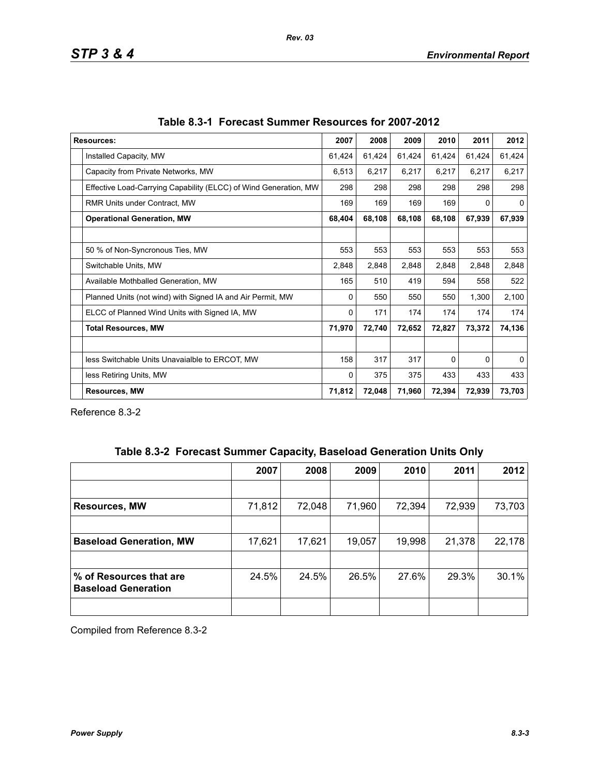| <b>Resources:</b>                                                | 2007   | 2008   | 2009   | 2010     | 2011   | 2012         |
|------------------------------------------------------------------|--------|--------|--------|----------|--------|--------------|
| Installed Capacity, MW                                           | 61,424 | 61,424 | 61,424 | 61,424   | 61,424 | 61,424       |
| Capacity from Private Networks, MW                               | 6,513  | 6,217  | 6,217  | 6,217    | 6,217  | 6,217        |
| Effective Load-Carrying Capability (ELCC) of Wind Generation, MW | 298    | 298    | 298    | 298      | 298    | 298          |
| <b>RMR Units under Contract, MW</b>                              |        | 169    | 169    | 169      | 0      | 0            |
| <b>Operational Generation, MW</b>                                |        | 68,108 | 68,108 | 68,108   | 67,939 | 67,939       |
|                                                                  |        |        |        |          |        |              |
| 50 % of Non-Syncronous Ties, MW                                  | 553    | 553    | 553    | 553      | 553    | 553          |
| Switchable Units, MW                                             | 2,848  | 2,848  | 2,848  | 2,848    | 2,848  | 2,848        |
| Available Mothballed Generation, MW                              | 165    | 510    | 419    | 594      | 558    | 522          |
| Planned Units (not wind) with Signed IA and Air Permit, MW       | 0      | 550    | 550    | 550      | 1,300  | 2,100        |
| ELCC of Planned Wind Units with Signed IA, MW                    | 0      | 171    | 174    | 174      | 174    | 174          |
| <b>Total Resources, MW</b>                                       | 71,970 | 72,740 | 72,652 | 72,827   | 73,372 | 74,136       |
|                                                                  |        |        |        |          |        |              |
| less Switchable Units Unavaialble to ERCOT, MW                   | 158    | 317    | 317    | $\Omega$ | 0      | $\mathbf{0}$ |
| less Retiring Units, MW                                          | 0      | 375    | 375    | 433      | 433    | 433          |
| <b>Resources, MW</b>                                             |        | 72,048 | 71,960 | 72,394   | 72,939 | 73,703       |

Reference 8.3-2

|  | Table 8.3-2 Forecast Summer Capacity, Baseload Generation Units Only |  |  |  |  |
|--|----------------------------------------------------------------------|--|--|--|--|
|--|----------------------------------------------------------------------|--|--|--|--|

|                                                       | 2007   | 2008   | 2009   | 2010   | 2011   | 2012   |
|-------------------------------------------------------|--------|--------|--------|--------|--------|--------|
|                                                       |        |        |        |        |        |        |
| <b>Resources, MW</b>                                  | 71,812 | 72,048 | 71,960 | 72,394 | 72,939 | 73,703 |
|                                                       |        |        |        |        |        |        |
| <b>Baseload Generation, MW</b>                        | 17,621 | 17,621 | 19,057 | 19,998 | 21,378 | 22,178 |
|                                                       |        |        |        |        |        |        |
| % of Resources that are<br><b>Baseload Generation</b> | 24.5%  | 24.5%  | 26.5%  | 27.6%  | 29.3%  | 30.1%  |
|                                                       |        |        |        |        |        |        |

Compiled from Reference 8.3-2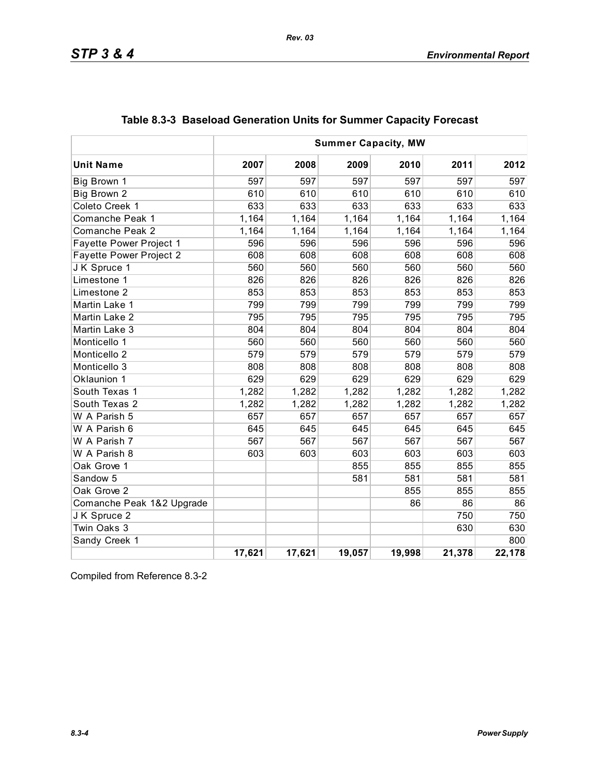|                           | <b>Summer Capacity, MW</b> |        |        |        |        |        |
|---------------------------|----------------------------|--------|--------|--------|--------|--------|
| <b>Unit Name</b>          | 2007                       | 2008   | 2009   | 2010   | 2011   | 2012   |
| Big Brown 1               | 597                        | 597    | 597    | 597    | 597    | 597    |
| Big Brown 2               | 610                        | 610    | 610    | 610    | 610    | 610    |
| Coleto Creek 1            | 633                        | 633    | 633    | 633    | 633    | 633    |
| Comanche Peak 1           | 1,164                      | 1,164  | 1,164  | 1,164  | 1,164  | 1,164  |
| Comanche Peak 2           | 1,164                      | 1,164  | 1,164  | 1,164  | 1,164  | 1,164  |
| Fayette Power Project 1   | 596                        | 596    | 596    | 596    | 596    | 596    |
| Fayette Power Project 2   | 608                        | 608    | 608    | 608    | 608    | 608    |
| JK Spruce 1               | 560                        | 560    | 560    | 560    | 560    | 560    |
| Limestone 1               | 826                        | 826    | 826    | 826    | 826    | 826    |
| Limestone 2               | 853                        | 853    | 853    | 853    | 853    | 853    |
| Martin Lake 1             | 799                        | 799    | 799    | 799    | 799    | 799    |
| Martin Lake 2             | 795                        | 795    | 795    | 795    | 795    | 795    |
| Martin Lake 3             | 804                        | 804    | 804    | 804    | 804    | 804    |
| Monticello 1              | 560                        | 560    | 560    | 560    | 560    | 560    |
| Monticello <sub>2</sub>   | 579                        | 579    | 579    | 579    | 579    | 579    |
| Monticello 3              | 808                        | 808    | 808    | 808    | 808    | 808    |
| Oklaunion 1               | 629                        | 629    | 629    | 629    | 629    | 629    |
| South Texas 1             | 1,282                      | 1,282  | 1,282  | 1,282  | 1,282  | 1,282  |
| South Texas 2             | 1,282                      | 1,282  | 1,282  | 1,282  | 1,282  | 1,282  |
| W A Parish 5              | 657                        | 657    | 657    | 657    | 657    | 657    |
| W A Parish 6              | 645                        | 645    | 645    | 645    | 645    | 645    |
| W A Parish 7              | 567                        | 567    | 567    | 567    | 567    | 567    |
| W A Parish 8              | 603                        | 603    | 603    | 603    | 603    | 603    |
| Oak Grove 1               |                            |        | 855    | 855    | 855    | 855    |
| Sandow 5                  |                            |        | 581    | 581    | 581    | 581    |
| Oak Grove 2               |                            |        |        | 855    | 855    | 855    |
| Comanche Peak 1&2 Upgrade |                            |        |        | 86     | 86     | 86     |
| J K Spruce 2              |                            |        |        |        | 750    | 750    |
| Twin Oaks 3               |                            |        |        |        | 630    | 630    |
| Sandy Creek 1             |                            |        |        |        |        | 800    |
|                           | 17,621                     | 17,621 | 19,057 | 19,998 | 21,378 | 22,178 |

# **Table 8.3-3 Baseload Generation Units for Summer Capacity Forecast**

*Rev. 03*

Compiled from Reference 8.3-2